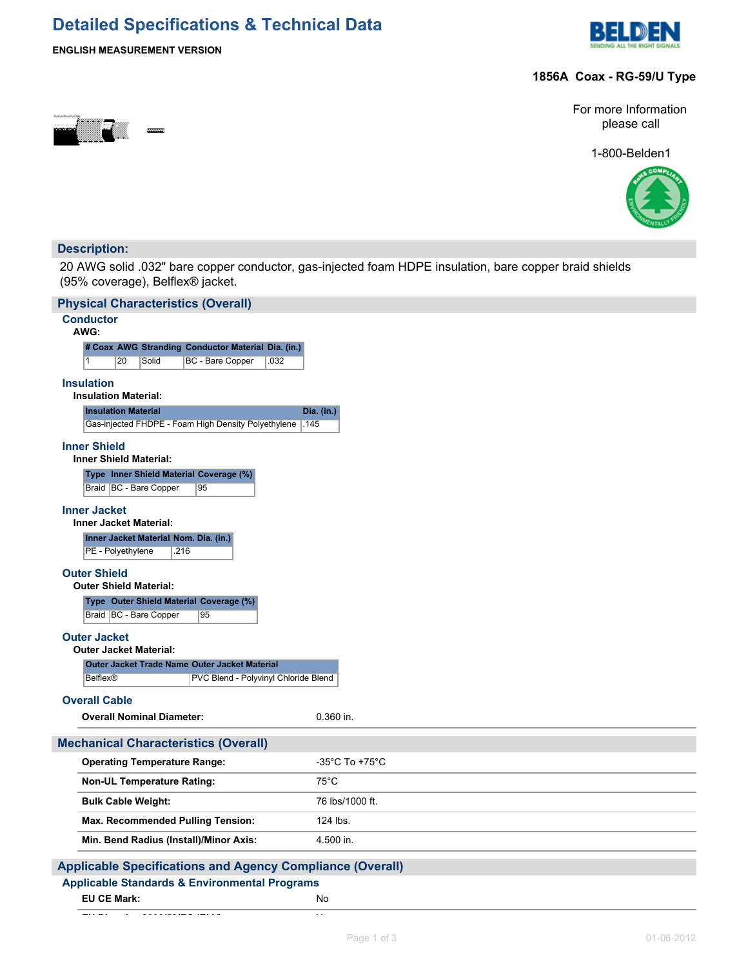# **Detailed Specifications & Technical Data**



### **ENGLISH MEASUREMENT VERSION**

### **1856A Coax - RG-59/U Type**



For more Information please call

1-800-Belden1



### **Description:**

20 AWG solid .032" bare copper conductor, gas-injected foam HDPE insulation, bare copper braid shields (95% coverage), Belflex® jacket.

| <b>Physical Characteristics (Overall)</b>                                 |                                     |
|---------------------------------------------------------------------------|-------------------------------------|
| <b>Conductor</b><br>AWG:                                                  |                                     |
| # Coax AWG Stranding Conductor Material Dia. (in.)                        |                                     |
| $\mathbf{1}$<br>20<br>Solid<br>BC - Bare Copper<br>.032                   |                                     |
| <b>Insulation</b>                                                         |                                     |
| <b>Insulation Material:</b>                                               |                                     |
| <b>Insulation Material</b>                                                | Dia. (in.)                          |
| Gas-injected FHDPE - Foam High Density Polyethylene<br>.145               |                                     |
| <b>Inner Shield</b>                                                       |                                     |
| <b>Inner Shield Material:</b>                                             |                                     |
| Type Inner Shield Material Coverage (%)                                   |                                     |
| Braid   BC - Bare Copper<br>95                                            |                                     |
| <b>Inner Jacket</b><br><b>Inner Jacket Material:</b>                      |                                     |
| Inner Jacket Material Nom. Dia. (in.)                                     |                                     |
| PE - Polyethylene<br>.216                                                 |                                     |
| <b>Outer Shield</b><br><b>Outer Shield Material:</b>                      |                                     |
| Type Outer Shield Material Coverage (%)<br>Braid   BC - Bare Copper<br>95 |                                     |
| <b>Outer Jacket</b>                                                       |                                     |
| <b>Outer Jacket Material:</b>                                             |                                     |
| Outer Jacket Trade Name Outer Jacket Material                             |                                     |
| <b>Belflex®</b><br>PVC Blend - Polyvinyl Chloride Blend                   |                                     |
| <b>Overall Cable</b>                                                      |                                     |
| <b>Overall Nominal Diameter:</b>                                          | $0.360$ in.                         |
| <b>Mechanical Characteristics (Overall)</b>                               |                                     |
| <b>Operating Temperature Range:</b>                                       | $-35^{\circ}$ C To +75 $^{\circ}$ C |
| <b>Non-UL Temperature Rating:</b>                                         | $75^{\circ}$ C                      |
| <b>Bulk Cable Weight:</b>                                                 | 76 lbs/1000 ft.                     |
| Max. Recommended Pulling Tension:                                         | 124 lbs.                            |
| Min. Bend Radius (Install)/Minor Axis:                                    | 4.500 in.                           |
| <b>Applicable Specifications and Agency Compliance (Overall)</b>          |                                     |
| <b>Applicable Standards &amp; Environmental Programs</b>                  |                                     |

| <b>EU CE Mark:</b> | No |
|--------------------|----|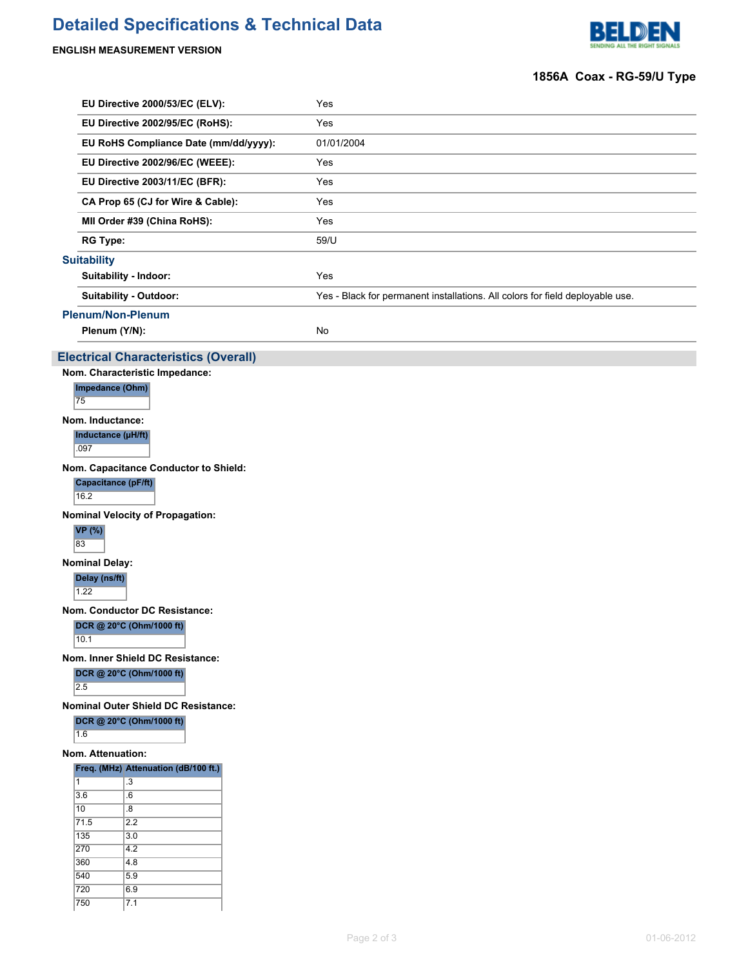# **Detailed Specifications & Technical Data**

## **ENGLISH MEASUREMENT VERSION**

 $7.1$ 



## **1856A Coax - RG-59/U Type**

|                                 | EU Directive 2000/53/EC (ELV):                                      | Yes                                                                           |  |  |  |
|---------------------------------|---------------------------------------------------------------------|-------------------------------------------------------------------------------|--|--|--|
|                                 | EU Directive 2002/95/EC (RoHS):                                     | Yes                                                                           |  |  |  |
|                                 | EU RoHS Compliance Date (mm/dd/yyyy):                               | 01/01/2004                                                                    |  |  |  |
|                                 | EU Directive 2002/96/EC (WEEE):                                     | Yes                                                                           |  |  |  |
|                                 | EU Directive 2003/11/EC (BFR):                                      | Yes                                                                           |  |  |  |
|                                 | CA Prop 65 (CJ for Wire & Cable):                                   | Yes                                                                           |  |  |  |
|                                 | MII Order #39 (China RoHS):                                         | Yes                                                                           |  |  |  |
|                                 | <b>RG Type:</b>                                                     | 59/U                                                                          |  |  |  |
|                                 | <b>Suitability</b>                                                  |                                                                               |  |  |  |
|                                 | Suitability - Indoor:                                               | Yes                                                                           |  |  |  |
|                                 | Suitability - Outdoor:                                              | Yes - Black for permanent installations. All colors for field deployable use. |  |  |  |
|                                 | <b>Plenum/Non-Plenum</b>                                            |                                                                               |  |  |  |
|                                 | Plenum (Y/N):                                                       | No                                                                            |  |  |  |
|                                 | <b>Electrical Characteristics (Overall)</b>                         |                                                                               |  |  |  |
|                                 | Nom. Characteristic Impedance:                                      |                                                                               |  |  |  |
|                                 | Impedance (Ohm)                                                     |                                                                               |  |  |  |
|                                 | 75                                                                  |                                                                               |  |  |  |
|                                 | Nom. Inductance:                                                    |                                                                               |  |  |  |
|                                 | Inductance (µH/ft)<br>.097                                          |                                                                               |  |  |  |
|                                 | Nom. Capacitance Conductor to Shield:                               |                                                                               |  |  |  |
|                                 | Capacitance (pF/ft)                                                 |                                                                               |  |  |  |
|                                 | 16.2                                                                |                                                                               |  |  |  |
|                                 | <b>Nominal Velocity of Propagation:</b>                             |                                                                               |  |  |  |
|                                 | <b>VP</b> (%)<br>83                                                 |                                                                               |  |  |  |
|                                 | <b>Nominal Delay:</b>                                               |                                                                               |  |  |  |
|                                 | Delay (ns/ft)<br>1.22                                               |                                                                               |  |  |  |
|                                 | Nom. Conductor DC Resistance:                                       |                                                                               |  |  |  |
|                                 | DCR @ 20°C (Ohm/1000 ft)<br>10.1                                    |                                                                               |  |  |  |
|                                 |                                                                     |                                                                               |  |  |  |
|                                 | Nom. Inner Shield DC Resistance:<br>DCR @ 20°C (Ohm/1000 ft)<br>2.5 |                                                                               |  |  |  |
|                                 | <b>Nominal Outer Shield DC Resistance:</b>                          |                                                                               |  |  |  |
| DCR @ 20°C (Ohm/1000 ft)<br>1.6 |                                                                     |                                                                               |  |  |  |
| Nom. Attenuation:               |                                                                     |                                                                               |  |  |  |
|                                 | Freq. (MHz) Attenuation (dB/100 ft.)                                |                                                                               |  |  |  |
| 1                               | .3                                                                  |                                                                               |  |  |  |
|                                 | 3.6<br>6.<br>10<br>8.                                               |                                                                               |  |  |  |
|                                 | 71.5<br>2.2                                                         |                                                                               |  |  |  |
|                                 | 135<br>3.0                                                          |                                                                               |  |  |  |
|                                 | 270<br>4.2                                                          |                                                                               |  |  |  |
|                                 | 360<br>4.8<br>540<br>5.9                                            |                                                                               |  |  |  |
|                                 | 720<br>6.9                                                          |                                                                               |  |  |  |
|                                 | 750<br>7.1                                                          |                                                                               |  |  |  |